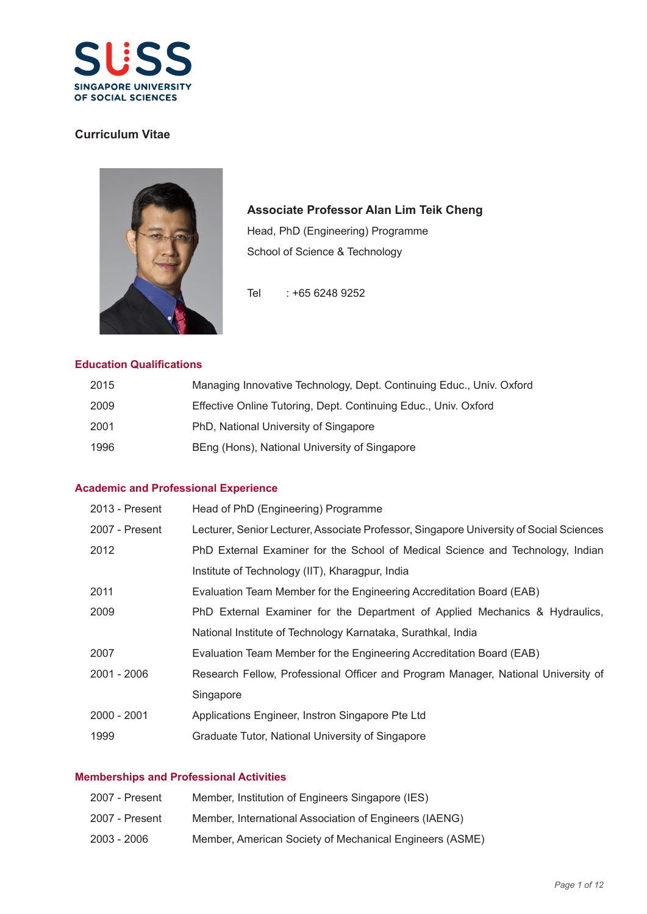

## **Curriculum Vitae**



# **Associate Professor Alan Lim Teik Cheng**

Head, PhD (Engineering) Programme School of Science & Technology

Tel : +65 6248 9252

### **Education Qualifications**

| 2015 | Managing Innovative Technology, Dept. Continuing Educ., Univ. Oxford |
|------|----------------------------------------------------------------------|
| 2009 | Effective Online Tutoring, Dept. Continuing Educ., Univ. Oxford      |
| 2001 | PhD, National University of Singapore                                |
| 1996 | BEng (Hons), National University of Singapore                        |

### **Academic and Professional Experience**

| 2013 - Present | Head of PhD (Engineering) Programme                                                     |
|----------------|-----------------------------------------------------------------------------------------|
| 2007 - Present | Lecturer, Senior Lecturer, Associate Professor, Singapore University of Social Sciences |
| 2012           | PhD External Examiner for the School of Medical Science and Technology, Indian          |
|                | Institute of Technology (IIT), Kharagpur, India                                         |
| 2011           | Evaluation Team Member for the Engineering Accreditation Board (EAB)                    |
| 2009           | PhD External Examiner for the Department of Applied Mechanics & Hydraulics,             |
|                | National Institute of Technology Karnataka, Surathkal, India                            |
| 2007           | Evaluation Team Member for the Engineering Accreditation Board (EAB)                    |
| 2001 - 2006    | Research Fellow, Professional Officer and Program Manager, National University of       |
|                | Singapore                                                                               |
| 2000 - 2001    | Applications Engineer, Instron Singapore Pte Ltd                                        |
| 1999           | Graduate Tutor, National University of Singapore                                        |

### **Memberships and Professional Activities**

| 2007 - Present | Member, Institution of Engineers Singapore (IES)        |
|----------------|---------------------------------------------------------|
| 2007 - Present | Member, International Association of Engineers (IAENG)  |
| $2003 - 2006$  | Member, American Society of Mechanical Engineers (ASME) |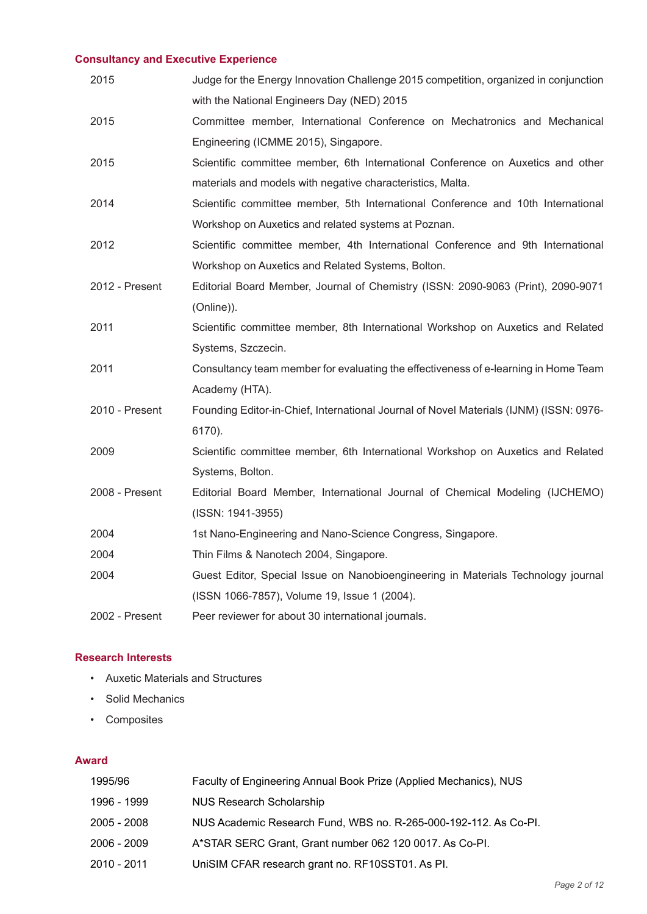# **Consultancy and Executive Experience**

| 2015           | Judge for the Energy Innovation Challenge 2015 competition, organized in conjunction   |
|----------------|----------------------------------------------------------------------------------------|
|                | with the National Engineers Day (NED) 2015                                             |
| 2015           | Committee member, International Conference on Mechatronics and Mechanical              |
|                | Engineering (ICMME 2015), Singapore.                                                   |
| 2015           | Scientific committee member, 6th International Conference on Auxetics and other        |
|                | materials and models with negative characteristics, Malta.                             |
| 2014           | Scientific committee member, 5th International Conference and 10th International       |
|                | Workshop on Auxetics and related systems at Poznan.                                    |
| 2012           | Scientific committee member, 4th International Conference and 9th International        |
|                | Workshop on Auxetics and Related Systems, Bolton.                                      |
| 2012 - Present | Editorial Board Member, Journal of Chemistry (ISSN: 2090-9063 (Print), 2090-9071       |
|                | (Online)).                                                                             |
| 2011           | Scientific committee member, 8th International Workshop on Auxetics and Related        |
|                | Systems, Szczecin.                                                                     |
| 2011           | Consultancy team member for evaluating the effectiveness of e-learning in Home Team    |
|                | Academy (HTA).                                                                         |
| 2010 - Present | Founding Editor-in-Chief, International Journal of Novel Materials (IJNM) (ISSN: 0976- |
|                | 6170).                                                                                 |
| 2009           | Scientific committee member, 6th International Workshop on Auxetics and Related        |
|                | Systems, Bolton.                                                                       |
| 2008 - Present | Editorial Board Member, International Journal of Chemical Modeling (IJCHEMO)           |
|                | (ISSN: 1941-3955)                                                                      |
| 2004           | 1st Nano-Engineering and Nano-Science Congress, Singapore.                             |
| 2004           | Thin Films & Nanotech 2004, Singapore.                                                 |
| 2004           | Guest Editor, Special Issue on Nanobioengineering in Materials Technology journal      |
|                | (ISSN 1066-7857), Volume 19, Issue 1 (2004).                                           |
| 2002 - Present | Peer reviewer for about 30 international journals.                                     |

### **Research Interests**

- Auxetic Materials and Structures
- Solid Mechanics
- Composites

### **Award**

| 1995/96     | Faculty of Engineering Annual Book Prize (Applied Mechanics), NUS |
|-------------|-------------------------------------------------------------------|
| 1996 - 1999 | <b>NUS Research Scholarship</b>                                   |
| 2005 - 2008 | NUS Academic Research Fund, WBS no. R-265-000-192-112. As Co-PI.  |
| 2006 - 2009 | A*STAR SERC Grant, Grant number 062 120 0017. As Co-PI.           |
| 2010 - 2011 | UniSIM CFAR research grant no. RF10SST01. As PI.                  |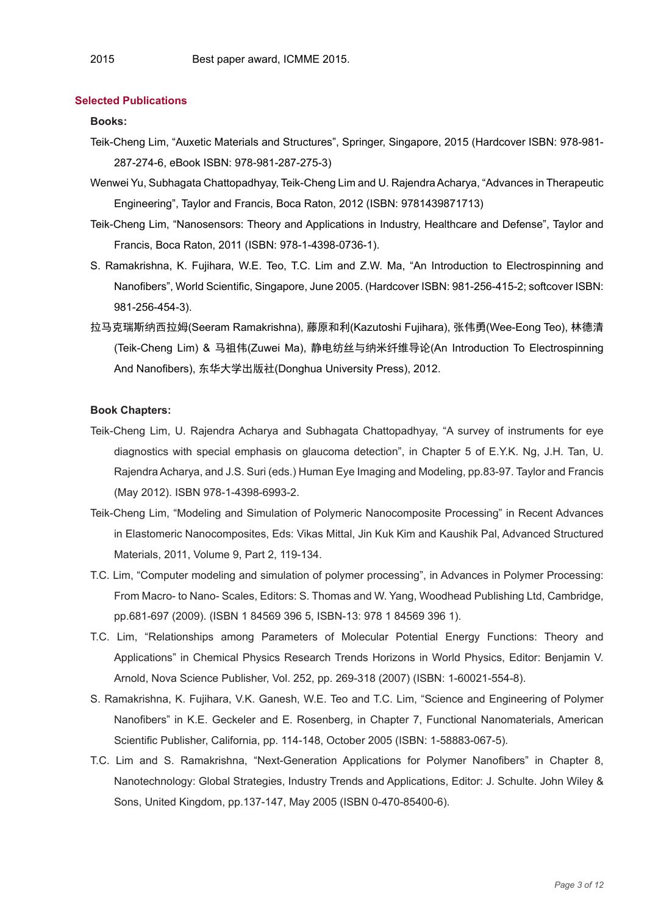#### **Selected Publications**

#### **Books:**

- Teik-Cheng Lim, "Auxetic Materials and Structures", Springer, Singapore, 2015 (Hardcover ISBN: 978-981- 287-274-6, eBook ISBN: 978-981-287-275-3)
- Wenwei Yu, Subhagata Chattopadhyay, Teik-Cheng Lim and U. Rajendra Acharya, "Advances in Therapeutic Engineering", Taylor and Francis, Boca Raton, 2012 (ISBN: 9781439871713)
- Teik-Cheng Lim, "Nanosensors: Theory and Applications in Industry, Healthcare and Defense", Taylor and Francis, Boca Raton, 2011 (ISBN: 978-1-4398-0736-1).
- S. Ramakrishna, K. Fujihara, W.E. Teo, T.C. Lim and Z.W. Ma, "An Introduction to Electrospinning and Nanofibers", World Scientific, Singapore, June 2005. (Hardcover ISBN: 981-256-415-2; softcover ISBN: 981-256-454-3).
- 拉马克瑞斯纳西拉姆(Seeram Ramakrishna), 藤原和利(Kazutoshi Fujihara), 张伟勇(Wee-Eong Teo), 林德清 (Teik-Cheng Lim) & 马祖伟(Zuwei Ma), 静电纺丝与纳米纤维导论(An Introduction To Electrospinning And Nanofibers), 东华大学出版社(Donghua University Press), 2012.

#### **Book Chapters:**

- Teik-Cheng Lim, U. Rajendra Acharya and Subhagata Chattopadhyay, "A survey of instruments for eye diagnostics with special emphasis on glaucoma detection", in Chapter 5 of E.Y.K. Ng, J.H. Tan, U. Rajendra Acharya, and J.S. Suri (eds.) Human Eye Imaging and Modeling, pp.83-97. Taylor and Francis (May 2012). ISBN 978-1-4398-6993-2.
- Teik-Cheng Lim, "Modeling and Simulation of Polymeric Nanocomposite Processing" in Recent Advances in Elastomeric Nanocomposites, Eds: Vikas Mittal, Jin Kuk Kim and Kaushik Pal, Advanced Structured Materials, 2011, Volume 9, Part 2, 119-134.
- T.C. Lim, "Computer modeling and simulation of polymer processing", in Advances in Polymer Processing: From Macro- to Nano- Scales, Editors: S. Thomas and W. Yang, Woodhead Publishing Ltd, Cambridge, pp.681-697 (2009). (ISBN 1 84569 396 5, ISBN-13: 978 1 84569 396 1).
- T.C. Lim, "Relationships among Parameters of Molecular Potential Energy Functions: Theory and Applications" in Chemical Physics Research Trends Horizons in World Physics, Editor: Benjamin V. Arnold, Nova Science Publisher, Vol. 252, pp. 269-318 (2007) (ISBN: 1-60021-554-8).
- S. Ramakrishna, K. Fujihara, V.K. Ganesh, W.E. Teo and T.C. Lim, "Science and Engineering of Polymer Nanofibers" in K.E. Geckeler and E. Rosenberg, in Chapter 7, Functional Nanomaterials, American Scientific Publisher, California, pp. 114-148, October 2005 (ISBN: 1-58883-067-5).
- T.C. Lim and S. Ramakrishna, "Next-Generation Applications for Polymer Nanofibers" in Chapter 8, Nanotechnology: Global Strategies, Industry Trends and Applications, Editor: J. Schulte. John Wiley & Sons, United Kingdom, pp.137-147, May 2005 (ISBN 0-470-85400-6).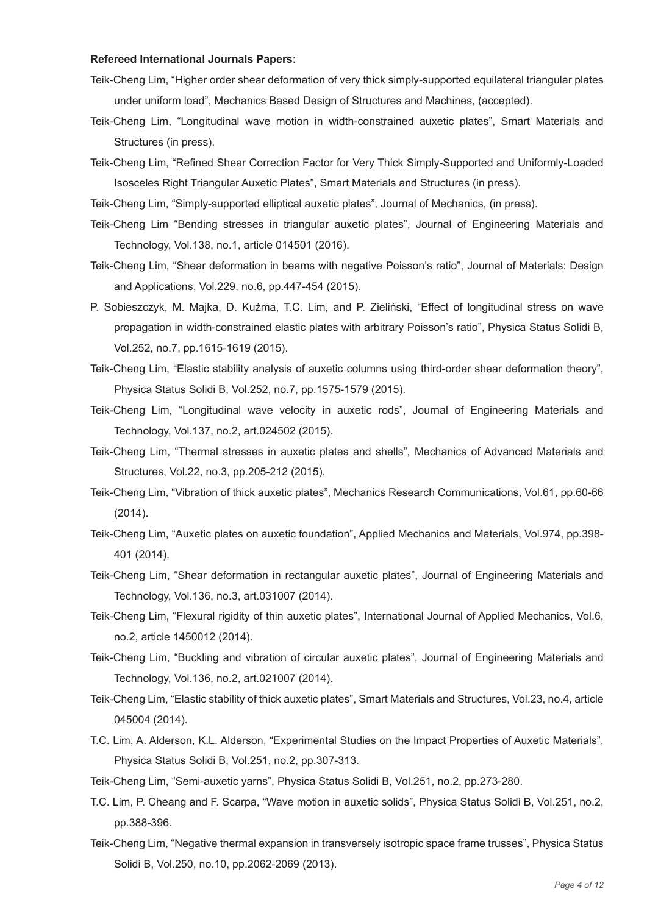#### **Refereed International Journals Papers:**

- Teik-Cheng Lim, "Higher order shear deformation of very thick simply-supported equilateral triangular plates under uniform load", Mechanics Based Design of Structures and Machines, (accepted).
- Teik-Cheng Lim, "Longitudinal wave motion in width-constrained auxetic plates", Smart Materials and Structures (in press).
- Teik-Cheng Lim, "Refined Shear Correction Factor for Very Thick Simply-Supported and Uniformly-Loaded Isosceles Right Triangular Auxetic Plates", Smart Materials and Structures (in press).
- Teik-Cheng Lim, "Simply-supported elliptical auxetic plates", Journal of Mechanics, (in press).
- Teik-Cheng Lim "Bending stresses in triangular auxetic plates", Journal of Engineering Materials and Technology, Vol.138, no.1, article 014501 (2016).
- Teik-Cheng Lim, "Shear deformation in beams with negative Poisson's ratio", Journal of Materials: Design and Applications, Vol.229, no.6, pp.447-454 (2015).
- P. Sobieszczyk, M. Majka, D. Kuźma, T.C. Lim, and P. Zieliński, "Effect of longitudinal stress on wave propagation in width-constrained elastic plates with arbitrary Poisson's ratio", Physica Status Solidi B, Vol.252, no.7, pp.1615-1619 (2015).
- Teik-Cheng Lim, "Elastic stability analysis of auxetic columns using third-order shear deformation theory", Physica Status Solidi B, Vol.252, no.7, pp.1575-1579 (2015).
- Teik-Cheng Lim, "Longitudinal wave velocity in auxetic rods", Journal of Engineering Materials and Technology, Vol.137, no.2, art.024502 (2015).
- Teik-Cheng Lim, "Thermal stresses in auxetic plates and shells", Mechanics of Advanced Materials and Structures, Vol.22, no.3, pp.205-212 (2015).
- Teik-Cheng Lim, "Vibration of thick auxetic plates", Mechanics Research Communications, Vol.61, pp.60-66 (2014).
- Teik-Cheng Lim, "Auxetic plates on auxetic foundation", Applied Mechanics and Materials, Vol.974, pp.398- 401 (2014).
- Teik-Cheng Lim, "Shear deformation in rectangular auxetic plates", Journal of Engineering Materials and Technology, Vol.136, no.3, art.031007 (2014).
- Teik-Cheng Lim, "Flexural rigidity of thin auxetic plates", International Journal of Applied Mechanics, Vol.6, no.2, article 1450012 (2014).
- Teik-Cheng Lim, "Buckling and vibration of circular auxetic plates", Journal of Engineering Materials and Technology, Vol.136, no.2, art.021007 (2014).
- Teik-Cheng Lim, "Elastic stability of thick auxetic plates", Smart Materials and Structures, Vol.23, no.4, article 045004 (2014).
- T.C. Lim, A. Alderson, K.L. Alderson, "Experimental Studies on the Impact Properties of Auxetic Materials", Physica Status Solidi B, Vol.251, no.2, pp.307-313.
- Teik-Cheng Lim, "Semi-auxetic yarns", Physica Status Solidi B, Vol.251, no.2, pp.273-280.
- T.C. Lim, P. Cheang and F. Scarpa, "Wave motion in auxetic solids", Physica Status Solidi B, Vol.251, no.2, pp.388-396.
- Teik-Cheng Lim, "Negative thermal expansion in transversely isotropic space frame trusses", Physica Status Solidi B, Vol.250, no.10, pp.2062-2069 (2013).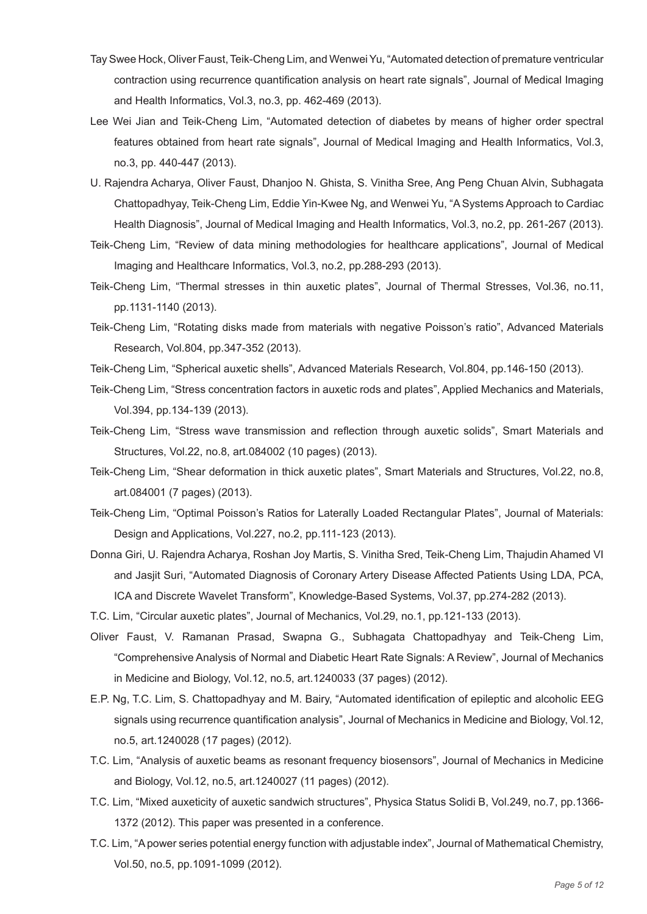- Tay Swee Hock, Oliver Faust, Teik-Cheng Lim, and Wenwei Yu, "Automated detection of premature ventricular contraction using recurrence quantification analysis on heart rate signals", Journal of Medical Imaging and Health Informatics, Vol.3, no.3, pp. 462-469 (2013).
- Lee Wei Jian and Teik-Cheng Lim, "Automated detection of diabetes by means of higher order spectral features obtained from heart rate signals", Journal of Medical Imaging and Health Informatics, Vol.3, no.3, pp. 440-447 (2013).
- U. Rajendra Acharya, Oliver Faust, Dhanjoo N. Ghista, S. Vinitha Sree, Ang Peng Chuan Alvin, Subhagata Chattopadhyay, Teik-Cheng Lim, Eddie Yin-Kwee Ng, and Wenwei Yu, "A Systems Approach to Cardiac Health Diagnosis", Journal of Medical Imaging and Health Informatics, Vol.3, no.2, pp. 261-267 (2013).
- Teik-Cheng Lim, "Review of data mining methodologies for healthcare applications", Journal of Medical Imaging and Healthcare Informatics, Vol.3, no.2, pp.288-293 (2013).
- Teik-Cheng Lim, "Thermal stresses in thin auxetic plates", Journal of Thermal Stresses, Vol.36, no.11, pp.1131-1140 (2013).
- Teik-Cheng Lim, "Rotating disks made from materials with negative Poisson's ratio", Advanced Materials Research, Vol.804, pp.347-352 (2013).
- Teik-Cheng Lim, "Spherical auxetic shells", Advanced Materials Research, Vol.804, pp.146-150 (2013).
- Teik-Cheng Lim, "Stress concentration factors in auxetic rods and plates", Applied Mechanics and Materials, Vol.394, pp.134-139 (2013).
- Teik-Cheng Lim, "Stress wave transmission and reflection through auxetic solids", Smart Materials and Structures, Vol.22, no.8, art.084002 (10 pages) (2013).
- Teik-Cheng Lim, "Shear deformation in thick auxetic plates", Smart Materials and Structures, Vol.22, no.8, art.084001 (7 pages) (2013).
- Teik-Cheng Lim, "Optimal Poisson's Ratios for Laterally Loaded Rectangular Plates", Journal of Materials: Design and Applications, Vol.227, no.2, pp.111-123 (2013).
- Donna Giri, U. Rajendra Acharya, Roshan Joy Martis, S. Vinitha Sred, Teik-Cheng Lim, Thajudin Ahamed VI and Jasjit Suri, "Automated Diagnosis of Coronary Artery Disease Affected Patients Using LDA, PCA, ICA and Discrete Wavelet Transform", Knowledge-Based Systems, Vol.37, pp.274-282 (2013).
- T.C. Lim, "Circular auxetic plates", Journal of Mechanics, Vol.29, no.1, pp.121-133 (2013).
- Oliver Faust, V. Ramanan Prasad, Swapna G., Subhagata Chattopadhyay and Teik-Cheng Lim, "Comprehensive Analysis of Normal and Diabetic Heart Rate Signals: A Review", Journal of Mechanics in Medicine and Biology, Vol.12, no.5, art.1240033 (37 pages) (2012).
- E.P. Ng, T.C. Lim, S. Chattopadhyay and M. Bairy, "Automated identification of epileptic and alcoholic EEG signals using recurrence quantification analysis", Journal of Mechanics in Medicine and Biology, Vol.12, no.5, art.1240028 (17 pages) (2012).
- T.C. Lim, "Analysis of auxetic beams as resonant frequency biosensors", Journal of Mechanics in Medicine and Biology, Vol.12, no.5, art.1240027 (11 pages) (2012).
- T.C. Lim, "Mixed auxeticity of auxetic sandwich structures", Physica Status Solidi B, Vol.249, no.7, pp.1366- 1372 (2012). This paper was presented in a conference.
- T.C. Lim, "A power series potential energy function with adjustable index", Journal of Mathematical Chemistry, Vol.50, no.5, pp.1091-1099 (2012).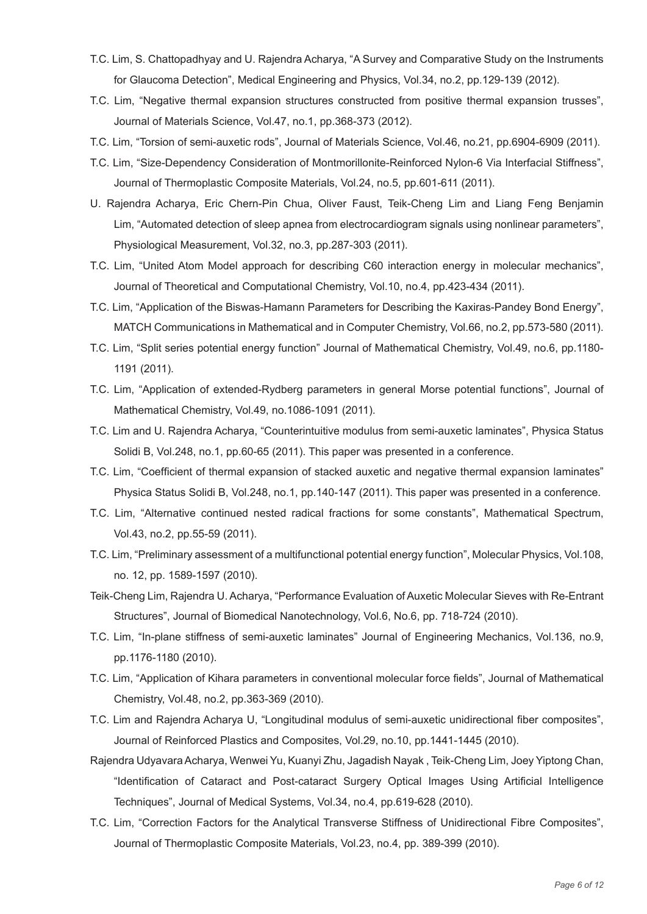- T.C. Lim, S. Chattopadhyay and U. Rajendra Acharya, "A Survey and Comparative Study on the Instruments for Glaucoma Detection", Medical Engineering and Physics, Vol.34, no.2, pp.129-139 (2012).
- T.C. Lim, "Negative thermal expansion structures constructed from positive thermal expansion trusses", Journal of Materials Science, Vol.47, no.1, pp.368-373 (2012).
- T.C. Lim, "Torsion of semi-auxetic rods", Journal of Materials Science, Vol.46, no.21, pp.6904-6909 (2011).
- T.C. Lim, "Size-Dependency Consideration of Montmorillonite-Reinforced Nylon-6 Via Interfacial Stiffness", Journal of Thermoplastic Composite Materials, Vol.24, no.5, pp.601-611 (2011).
- U. Rajendra Acharya, Eric Chern-Pin Chua, Oliver Faust, Teik-Cheng Lim and Liang Feng Benjamin Lim, "Automated detection of sleep apnea from electrocardiogram signals using nonlinear parameters", Physiological Measurement, Vol.32, no.3, pp.287-303 (2011).
- T.C. Lim, "United Atom Model approach for describing C60 interaction energy in molecular mechanics", Journal of Theoretical and Computational Chemistry, Vol.10, no.4, pp.423-434 (2011).
- T.C. Lim, "Application of the Biswas-Hamann Parameters for Describing the Kaxiras-Pandey Bond Energy", MATCH Communications in Mathematical and in Computer Chemistry, Vol.66, no.2, pp.573-580 (2011).
- T.C. Lim, "Split series potential energy function" Journal of Mathematical Chemistry, Vol.49, no.6, pp.1180- 1191 (2011).
- T.C. Lim, "Application of extended-Rydberg parameters in general Morse potential functions", Journal of Mathematical Chemistry, Vol.49, no.1086-1091 (2011).
- T.C. Lim and U. Rajendra Acharya, "Counterintuitive modulus from semi-auxetic laminates", Physica Status Solidi B, Vol.248, no.1, pp.60-65 (2011). This paper was presented in a conference.
- T.C. Lim, "Coefficient of thermal expansion of stacked auxetic and negative thermal expansion laminates" Physica Status Solidi B, Vol.248, no.1, pp.140-147 (2011). This paper was presented in a conference.
- T.C. Lim, "Alternative continued nested radical fractions for some constants", Mathematical Spectrum, Vol.43, no.2, pp.55-59 (2011).
- T.C. Lim, "Preliminary assessment of a multifunctional potential energy function", Molecular Physics, Vol.108, no. 12, pp. 1589-1597 (2010).
- Teik-Cheng Lim, Rajendra U. Acharya, "Performance Evaluation of Auxetic Molecular Sieves with Re-Entrant Structures", Journal of Biomedical Nanotechnology, Vol.6, No.6, pp. 718-724 (2010).
- T.C. Lim, "In-plane stiffness of semi-auxetic laminates" Journal of Engineering Mechanics, Vol.136, no.9, pp.1176-1180 (2010).
- T.C. Lim, "Application of Kihara parameters in conventional molecular force fields", Journal of Mathematical Chemistry, Vol.48, no.2, pp.363-369 (2010).
- T.C. Lim and Rajendra Acharya U, "Longitudinal modulus of semi-auxetic unidirectional fiber composites", Journal of Reinforced Plastics and Composites, Vol.29, no.10, pp.1441-1445 (2010).
- Rajendra Udyavara Acharya, Wenwei Yu, Kuanyi Zhu, Jagadish Nayak , Teik-Cheng Lim, Joey Yiptong Chan, "Identification of Cataract and Post-cataract Surgery Optical Images Using Artificial Intelligence Techniques", Journal of Medical Systems, Vol.34, no.4, pp.619-628 (2010).
- T.C. Lim, "Correction Factors for the Analytical Transverse Stiffness of Unidirectional Fibre Composites", Journal of Thermoplastic Composite Materials, Vol.23, no.4, pp. 389-399 (2010).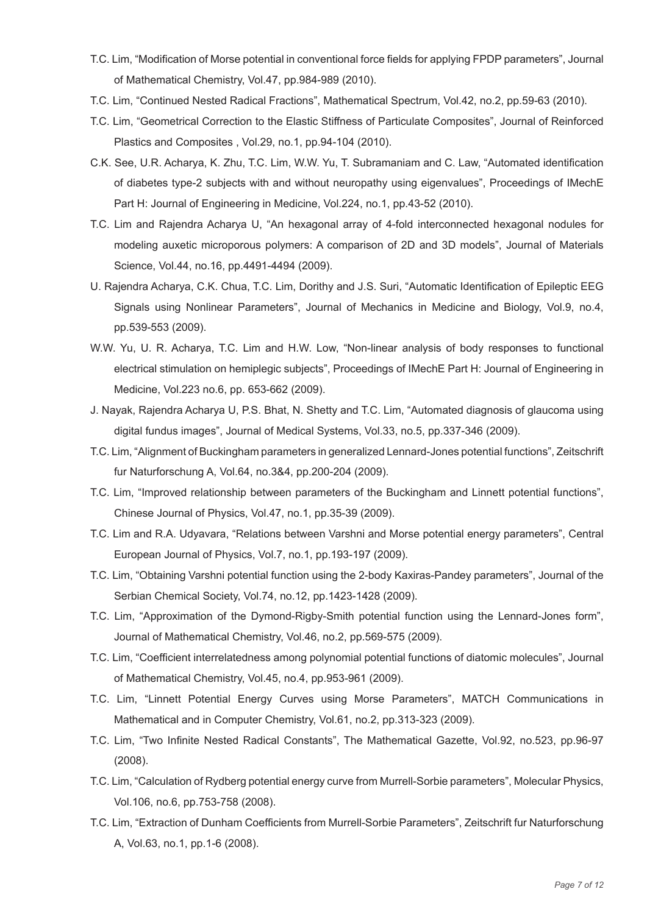- T.C. Lim, "Modification of Morse potential in conventional force fields for applying FPDP parameters", Journal of Mathematical Chemistry, Vol.47, pp.984-989 (2010).
- T.C. Lim, "Continued Nested Radical Fractions", Mathematical Spectrum, Vol.42, no.2, pp.59-63 (2010).
- T.C. Lim, "Geometrical Correction to the Elastic Stiffness of Particulate Composites", Journal of Reinforced Plastics and Composites , Vol.29, no.1, pp.94-104 (2010).
- C.K. See, U.R. Acharya, K. Zhu, T.C. Lim, W.W. Yu, T. Subramaniam and C. Law, "Automated identification of diabetes type-2 subjects with and without neuropathy using eigenvalues", Proceedings of IMechE Part H: Journal of Engineering in Medicine, Vol.224, no.1, pp.43-52 (2010).
- T.C. Lim and Rajendra Acharya U, "An hexagonal array of 4-fold interconnected hexagonal nodules for modeling auxetic microporous polymers: A comparison of 2D and 3D models", Journal of Materials Science, Vol.44, no.16, pp.4491-4494 (2009).
- U. Rajendra Acharya, C.K. Chua, T.C. Lim, Dorithy and J.S. Suri, "Automatic Identification of Epileptic EEG Signals using Nonlinear Parameters", Journal of Mechanics in Medicine and Biology, Vol.9, no.4, pp.539-553 (2009).
- W.W. Yu, U. R. Acharya, T.C. Lim and H.W. Low, "Non-linear analysis of body responses to functional electrical stimulation on hemiplegic subjects", Proceedings of IMechE Part H: Journal of Engineering in Medicine, Vol.223 no.6, pp. 653-662 (2009).
- J. Nayak, Rajendra Acharya U, P.S. Bhat, N. Shetty and T.C. Lim, "Automated diagnosis of glaucoma using digital fundus images", Journal of Medical Systems, Vol.33, no.5, pp.337-346 (2009).
- T.C. Lim, "Alignment of Buckingham parameters in generalized Lennard-Jones potential functions", Zeitschrift fur Naturforschung A, Vol.64, no.3&4, pp.200-204 (2009).
- T.C. Lim, "Improved relationship between parameters of the Buckingham and Linnett potential functions", Chinese Journal of Physics, Vol.47, no.1, pp.35-39 (2009).
- T.C. Lim and R.A. Udyavara, "Relations between Varshni and Morse potential energy parameters", Central European Journal of Physics, Vol.7, no.1, pp.193-197 (2009).
- T.C. Lim, "Obtaining Varshni potential function using the 2-body Kaxiras-Pandey parameters", Journal of the Serbian Chemical Society, Vol.74, no.12, pp.1423-1428 (2009).
- T.C. Lim, "Approximation of the Dymond-Rigby-Smith potential function using the Lennard-Jones form", Journal of Mathematical Chemistry, Vol.46, no.2, pp.569-575 (2009).
- T.C. Lim, "Coefficient interrelatedness among polynomial potential functions of diatomic molecules", Journal of Mathematical Chemistry, Vol.45, no.4, pp.953-961 (2009).
- T.C. Lim, "Linnett Potential Energy Curves using Morse Parameters", MATCH Communications in Mathematical and in Computer Chemistry, Vol.61, no.2, pp.313-323 (2009).
- T.C. Lim, "Two Infinite Nested Radical Constants", The Mathematical Gazette, Vol.92, no.523, pp.96-97 (2008).
- T.C. Lim, "Calculation of Rydberg potential energy curve from Murrell-Sorbie parameters", Molecular Physics, Vol.106, no.6, pp.753-758 (2008).
- T.C. Lim, "Extraction of Dunham Coefficients from Murrell-Sorbie Parameters", Zeitschrift fur Naturforschung A, Vol.63, no.1, pp.1-6 (2008).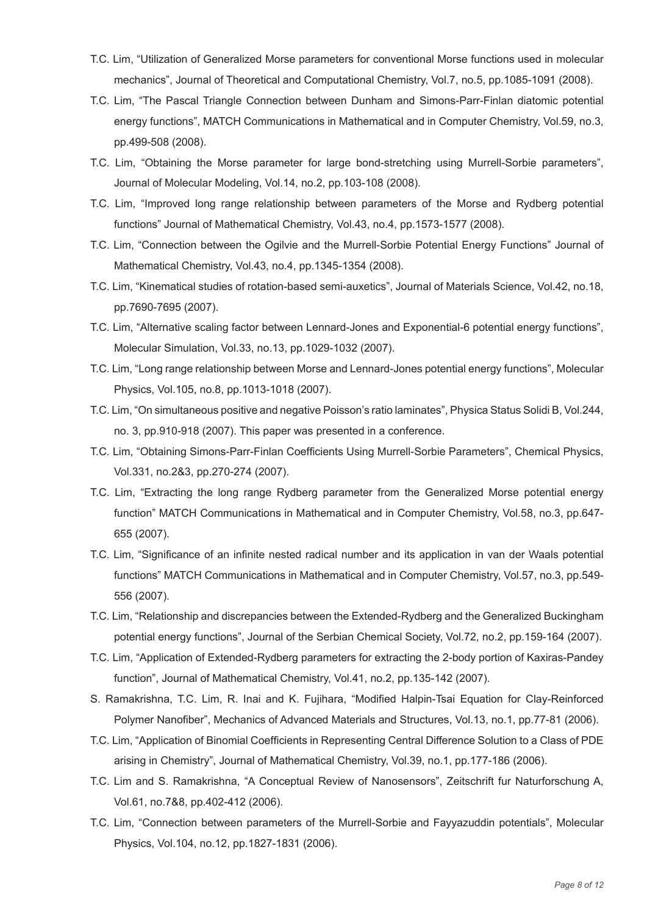- T.C. Lim, "Utilization of Generalized Morse parameters for conventional Morse functions used in molecular mechanics", Journal of Theoretical and Computational Chemistry, Vol.7, no.5, pp.1085-1091 (2008).
- T.C. Lim, "The Pascal Triangle Connection between Dunham and Simons-Parr-Finlan diatomic potential energy functions", MATCH Communications in Mathematical and in Computer Chemistry, Vol.59, no.3, pp.499-508 (2008).
- T.C. Lim, "Obtaining the Morse parameter for large bond-stretching using Murrell-Sorbie parameters", Journal of Molecular Modeling, Vol.14, no.2, pp.103-108 (2008).
- T.C. Lim, "Improved long range relationship between parameters of the Morse and Rydberg potential functions" Journal of Mathematical Chemistry, Vol.43, no.4, pp.1573-1577 (2008).
- T.C. Lim, "Connection between the Ogilvie and the Murrell-Sorbie Potential Energy Functions" Journal of Mathematical Chemistry, Vol.43, no.4, pp.1345-1354 (2008).
- T.C. Lim, "Kinematical studies of rotation-based semi-auxetics", Journal of Materials Science, Vol.42, no.18, pp.7690-7695 (2007).
- T.C. Lim, "Alternative scaling factor between Lennard-Jones and Exponential-6 potential energy functions", Molecular Simulation, Vol.33, no.13, pp.1029-1032 (2007).
- T.C. Lim, "Long range relationship between Morse and Lennard-Jones potential energy functions", Molecular Physics, Vol.105, no.8, pp.1013-1018 (2007).
- T.C. Lim, "On simultaneous positive and negative Poisson's ratio laminates", Physica Status Solidi B, Vol.244, no. 3, pp.910-918 (2007). This paper was presented in a conference.
- T.C. Lim, "Obtaining Simons-Parr-Finlan Coefficients Using Murrell-Sorbie Parameters", Chemical Physics, Vol.331, no.2&3, pp.270-274 (2007).
- T.C. Lim, "Extracting the long range Rydberg parameter from the Generalized Morse potential energy function" MATCH Communications in Mathematical and in Computer Chemistry, Vol.58, no.3, pp.647- 655 (2007).
- T.C. Lim, "Significance of an infinite nested radical number and its application in van der Waals potential functions" MATCH Communications in Mathematical and in Computer Chemistry, Vol.57, no.3, pp.549- 556 (2007).
- T.C. Lim, "Relationship and discrepancies between the Extended-Rydberg and the Generalized Buckingham potential energy functions", Journal of the Serbian Chemical Society, Vol.72, no.2, pp.159-164 (2007).
- T.C. Lim, "Application of Extended-Rydberg parameters for extracting the 2-body portion of Kaxiras-Pandey function", Journal of Mathematical Chemistry, Vol.41, no.2, pp.135-142 (2007).
- S. Ramakrishna, T.C. Lim, R. Inai and K. Fujihara, "Modified Halpin-Tsai Equation for Clay-Reinforced Polymer Nanofiber", Mechanics of Advanced Materials and Structures, Vol.13, no.1, pp.77-81 (2006).
- T.C. Lim, "Application of Binomial Coefficients in Representing Central Difference Solution to a Class of PDE arising in Chemistry", Journal of Mathematical Chemistry, Vol.39, no.1, pp.177-186 (2006).
- T.C. Lim and S. Ramakrishna, "A Conceptual Review of Nanosensors", Zeitschrift fur Naturforschung A, Vol.61, no.7&8, pp.402-412 (2006).
- T.C. Lim, "Connection between parameters of the Murrell-Sorbie and Fayyazuddin potentials", Molecular Physics, Vol.104, no.12, pp.1827-1831 (2006).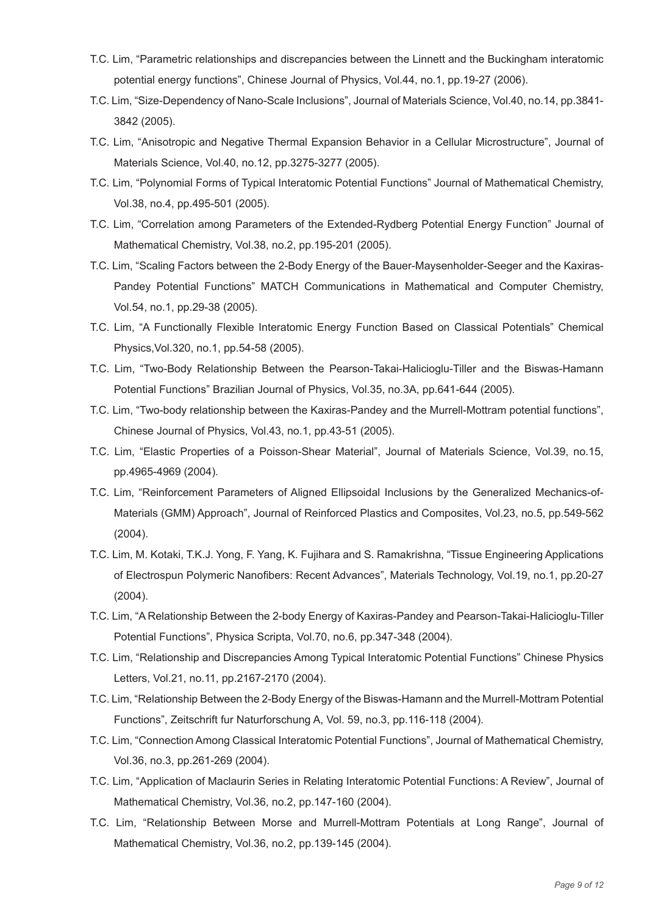- T.C. Lim, "Parametric relationships and discrepancies between the Linnett and the Buckingham interatomic potential energy functions", Chinese Journal of Physics, Vol.44, no.1, pp.19-27 (2006).
- T.C. Lim, "Size-Dependency of Nano-Scale Inclusions", Journal of Materials Science, Vol.40, no.14, pp.3841- 3842 (2005).
- T.C. Lim, "Anisotropic and Negative Thermal Expansion Behavior in a Cellular Microstructure", Journal of Materials Science, Vol.40, no.12, pp.3275-3277 (2005).
- T.C. Lim, "Polynomial Forms of Typical Interatomic Potential Functions" Journal of Mathematical Chemistry, Vol.38, no.4, pp.495-501 (2005).
- T.C. Lim, "Correlation among Parameters of the Extended-Rydberg Potential Energy Function" Journal of Mathematical Chemistry, Vol.38, no.2, pp.195-201 (2005).
- T.C. Lim, "Scaling Factors between the 2-Body Energy of the Bauer-Maysenholder-Seeger and the Kaxiras-Pandey Potential Functions" MATCH Communications in Mathematical and Computer Chemistry, Vol.54, no.1, pp.29-38 (2005).
- T.C. Lim, "A Functionally Flexible Interatomic Energy Function Based on Classical Potentials" Chemical Physics,Vol.320, no.1, pp.54-58 (2005).
- T.C. Lim, "Two-Body Relationship Between the Pearson-Takai-Halicioglu-Tiller and the Biswas-Hamann Potential Functions" Brazilian Journal of Physics, Vol.35, no.3A, pp.641-644 (2005).
- T.C. Lim, "Two-body relationship between the Kaxiras-Pandey and the Murrell-Mottram potential functions", Chinese Journal of Physics, Vol.43, no.1, pp.43-51 (2005).
- T.C. Lim, "Elastic Properties of a Poisson-Shear Material", Journal of Materials Science, Vol.39, no.15, pp.4965-4969 (2004).
- T.C. Lim, "Reinforcement Parameters of Aligned Ellipsoidal Inclusions by the Generalized Mechanics-of-Materials (GMM) Approach", Journal of Reinforced Plastics and Composites, Vol.23, no.5, pp.549-562 (2004).
- T.C. Lim, M. Kotaki, T.K.J. Yong, F. Yang, K. Fujihara and S. Ramakrishna, "Tissue Engineering Applications of Electrospun Polymeric Nanofibers: Recent Advances", Materials Technology, Vol.19, no.1, pp.20-27 (2004).
- T.C. Lim, "A Relationship Between the 2-body Energy of Kaxiras-Pandey and Pearson-Takai-Halicioglu-Tiller Potential Functions", Physica Scripta, Vol.70, no.6, pp.347-348 (2004).
- T.C. Lim, "Relationship and Discrepancies Among Typical Interatomic Potential Functions" Chinese Physics Letters, Vol.21, no.11, pp.2167-2170 (2004).
- T.C. Lim, "Relationship Between the 2-Body Energy of the Biswas-Hamann and the Murrell-Mottram Potential Functions", Zeitschrift fur Naturforschung A, Vol. 59, no.3, pp.116-118 (2004).
- T.C. Lim, "Connection Among Classical Interatomic Potential Functions", Journal of Mathematical Chemistry, Vol.36, no.3, pp.261-269 (2004).
- T.C. Lim, "Application of Maclaurin Series in Relating Interatomic Potential Functions: A Review", Journal of Mathematical Chemistry, Vol.36, no.2, pp.147-160 (2004).
- T.C. Lim, "Relationship Between Morse and Murrell-Mottram Potentials at Long Range", Journal of Mathematical Chemistry, Vol.36, no.2, pp.139-145 (2004).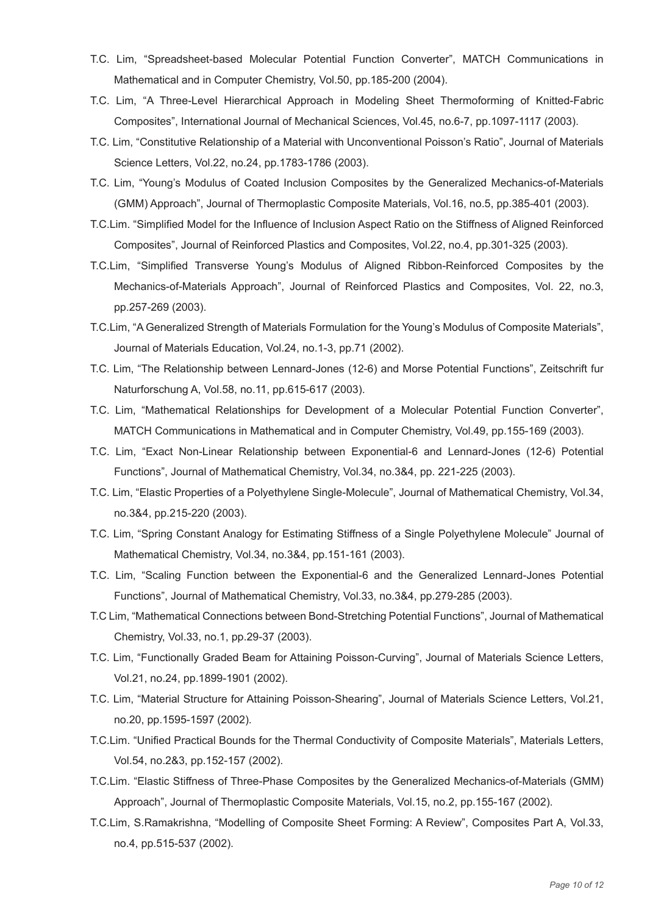- T.C. Lim, "Spreadsheet-based Molecular Potential Function Converter", MATCH Communications in Mathematical and in Computer Chemistry, Vol.50, pp.185-200 (2004).
- T.C. Lim, "A Three-Level Hierarchical Approach in Modeling Sheet Thermoforming of Knitted-Fabric Composites", International Journal of Mechanical Sciences, Vol.45, no.6-7, pp.1097-1117 (2003).
- T.C. Lim, "Constitutive Relationship of a Material with Unconventional Poisson's Ratio", Journal of Materials Science Letters, Vol.22, no.24, pp.1783-1786 (2003).
- T.C. Lim, "Young's Modulus of Coated Inclusion Composites by the Generalized Mechanics-of-Materials (GMM) Approach", Journal of Thermoplastic Composite Materials, Vol.16, no.5, pp.385-401 (2003).
- T.C.Lim. "Simplified Model for the Influence of Inclusion Aspect Ratio on the Stiffness of Aligned Reinforced Composites", Journal of Reinforced Plastics and Composites, Vol.22, no.4, pp.301-325 (2003).
- T.C.Lim, "Simplified Transverse Young's Modulus of Aligned Ribbon-Reinforced Composites by the Mechanics-of-Materials Approach", Journal of Reinforced Plastics and Composites, Vol. 22, no.3, pp.257-269 (2003).
- T.C.Lim, "A Generalized Strength of Materials Formulation for the Young's Modulus of Composite Materials", Journal of Materials Education, Vol.24, no.1-3, pp.71 (2002).
- T.C. Lim, "The Relationship between Lennard-Jones (12-6) and Morse Potential Functions", Zeitschrift fur Naturforschung A, Vol.58, no.11, pp.615-617 (2003).
- T.C. Lim, "Mathematical Relationships for Development of a Molecular Potential Function Converter", MATCH Communications in Mathematical and in Computer Chemistry, Vol.49, pp.155-169 (2003).
- T.C. Lim, "Exact Non-Linear Relationship between Exponential-6 and Lennard-Jones (12-6) Potential Functions", Journal of Mathematical Chemistry, Vol.34, no.3&4, pp. 221-225 (2003).
- T.C. Lim, "Elastic Properties of a Polyethylene Single-Molecule", Journal of Mathematical Chemistry, Vol.34, no.3&4, pp.215-220 (2003).
- T.C. Lim, "Spring Constant Analogy for Estimating Stiffness of a Single Polyethylene Molecule" Journal of Mathematical Chemistry, Vol.34, no.3&4, pp.151-161 (2003).
- T.C. Lim, "Scaling Function between the Exponential-6 and the Generalized Lennard-Jones Potential Functions", Journal of Mathematical Chemistry, Vol.33, no.3&4, pp.279-285 (2003).
- T.C Lim, "Mathematical Connections between Bond-Stretching Potential Functions", Journal of Mathematical Chemistry, Vol.33, no.1, pp.29-37 (2003).
- T.C. Lim, "Functionally Graded Beam for Attaining Poisson-Curving", Journal of Materials Science Letters, Vol.21, no.24, pp.1899-1901 (2002).
- T.C. Lim, "Material Structure for Attaining Poisson-Shearing", Journal of Materials Science Letters, Vol.21, no.20, pp.1595-1597 (2002).
- T.C.Lim. "Unified Practical Bounds for the Thermal Conductivity of Composite Materials", Materials Letters, Vol.54, no.2&3, pp.152-157 (2002).
- T.C.Lim. "Elastic Stiffness of Three-Phase Composites by the Generalized Mechanics-of-Materials (GMM) Approach", Journal of Thermoplastic Composite Materials, Vol.15, no.2, pp.155-167 (2002).
- T.C.Lim, S.Ramakrishna, "Modelling of Composite Sheet Forming: A Review", Composites Part A, Vol.33, no.4, pp.515-537 (2002).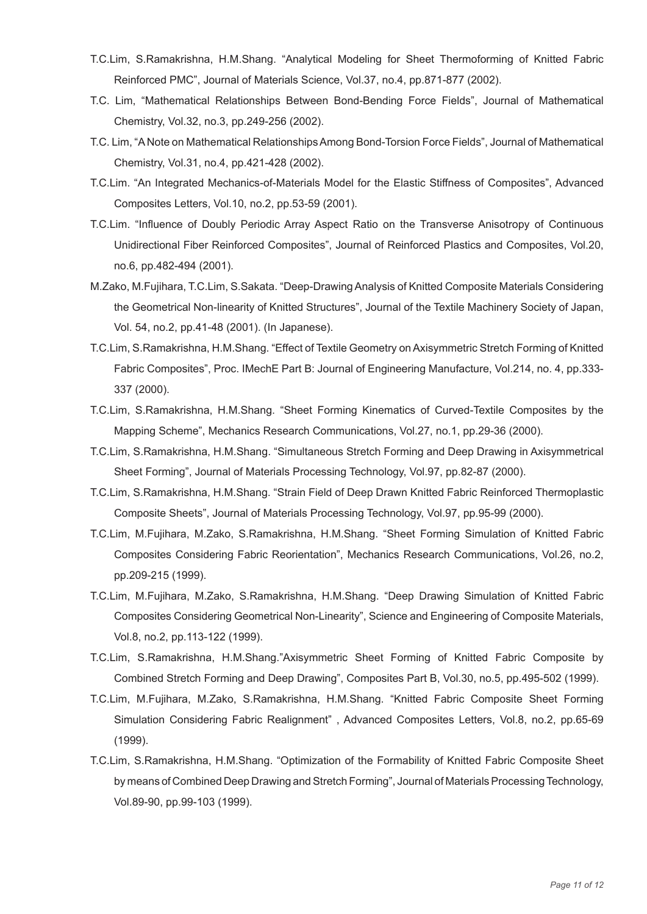- T.C.Lim, S.Ramakrishna, H.M.Shang. "Analytical Modeling for Sheet Thermoforming of Knitted Fabric Reinforced PMC", Journal of Materials Science, Vol.37, no.4, pp.871-877 (2002).
- T.C. Lim, "Mathematical Relationships Between Bond-Bending Force Fields", Journal of Mathematical Chemistry, Vol.32, no.3, pp.249-256 (2002).
- T.C. Lim, "A Note on Mathematical Relationships Among Bond-Torsion Force Fields", Journal of Mathematical Chemistry, Vol.31, no.4, pp.421-428 (2002).
- T.C.Lim. "An Integrated Mechanics-of-Materials Model for the Elastic Stiffness of Composites", Advanced Composites Letters, Vol.10, no.2, pp.53-59 (2001).
- T.C.Lim. "Influence of Doubly Periodic Array Aspect Ratio on the Transverse Anisotropy of Continuous Unidirectional Fiber Reinforced Composites", Journal of Reinforced Plastics and Composites, Vol.20, no.6, pp.482-494 (2001).
- M.Zako, M.Fujihara, T.C.Lim, S.Sakata. "Deep-Drawing Analysis of Knitted Composite Materials Considering the Geometrical Non-linearity of Knitted Structures", Journal of the Textile Machinery Society of Japan, Vol. 54, no.2, pp.41-48 (2001). (In Japanese).
- T.C.Lim, S.Ramakrishna, H.M.Shang. "Effect of Textile Geometry on Axisymmetric Stretch Forming of Knitted Fabric Composites", Proc. IMechE Part B: Journal of Engineering Manufacture, Vol.214, no. 4, pp.333- 337 (2000).
- T.C.Lim, S.Ramakrishna, H.M.Shang. "Sheet Forming Kinematics of Curved-Textile Composites by the Mapping Scheme", Mechanics Research Communications, Vol.27, no.1, pp.29-36 (2000).
- T.C.Lim, S.Ramakrishna, H.M.Shang. "Simultaneous Stretch Forming and Deep Drawing in Axisymmetrical Sheet Forming", Journal of Materials Processing Technology, Vol.97, pp.82-87 (2000).
- T.C.Lim, S.Ramakrishna, H.M.Shang. "Strain Field of Deep Drawn Knitted Fabric Reinforced Thermoplastic Composite Sheets", Journal of Materials Processing Technology, Vol.97, pp.95-99 (2000).
- T.C.Lim, M.Fujihara, M.Zako, S.Ramakrishna, H.M.Shang. "Sheet Forming Simulation of Knitted Fabric Composites Considering Fabric Reorientation", Mechanics Research Communications, Vol.26, no.2, pp.209-215 (1999).
- T.C.Lim, M.Fujihara, M.Zako, S.Ramakrishna, H.M.Shang. "Deep Drawing Simulation of Knitted Fabric Composites Considering Geometrical Non-Linearity", Science and Engineering of Composite Materials, Vol.8, no.2, pp.113-122 (1999).
- T.C.Lim, S.Ramakrishna, H.M.Shang."Axisymmetric Sheet Forming of Knitted Fabric Composite by Combined Stretch Forming and Deep Drawing", Composites Part B, Vol.30, no.5, pp.495-502 (1999).
- T.C.Lim, M.Fujihara, M.Zako, S.Ramakrishna, H.M.Shang. "Knitted Fabric Composite Sheet Forming Simulation Considering Fabric Realignment" , Advanced Composites Letters, Vol.8, no.2, pp.65-69 (1999).
- T.C.Lim, S.Ramakrishna, H.M.Shang. "Optimization of the Formability of Knitted Fabric Composite Sheet by means of Combined Deep Drawing and Stretch Forming", Journal of Materials Processing Technology, Vol.89-90, pp.99-103 (1999).